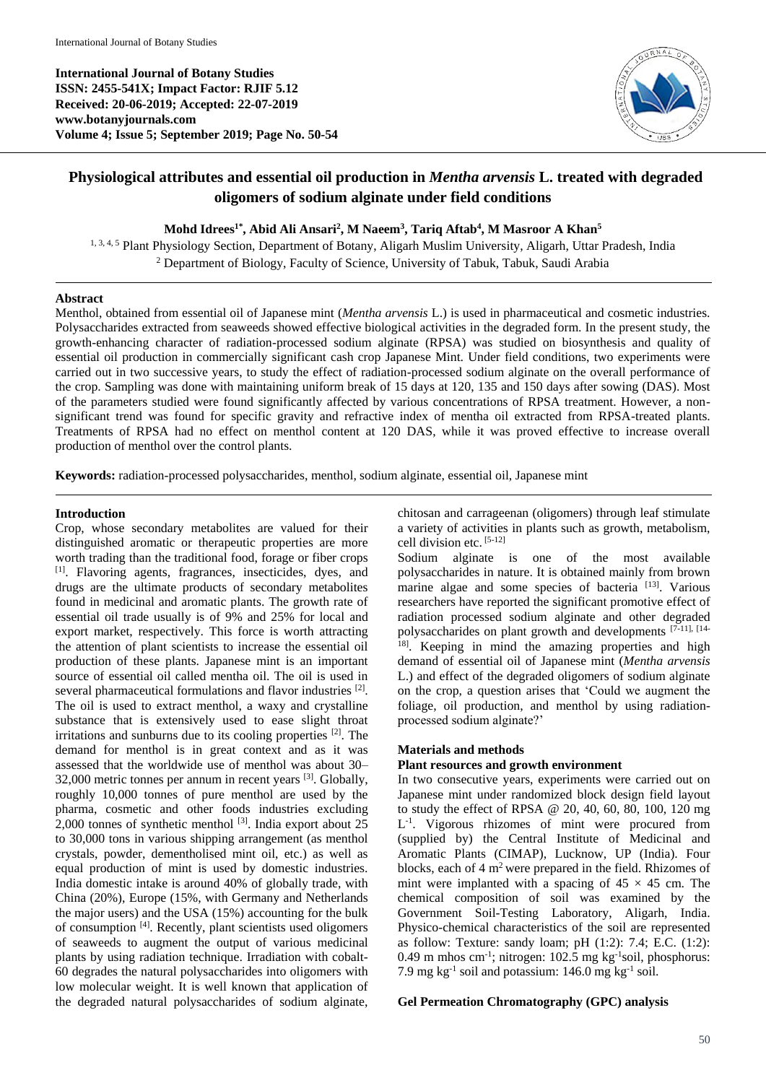**International Journal of Botany Studies ISSN: 2455-541X; Impact Factor: RJIF 5.12 Received: 20-06-2019; Accepted: 22-07-2019 www.botanyjournals.com Volume 4; Issue 5; September 2019; Page No. 50-54**



# **Physiological attributes and essential oil production in** *Mentha arvensis* **L. treated with degraded oligomers of sodium alginate under field conditions**

### **Mohd Idrees1\* , Abid Ali Ansari<sup>2</sup> , M Naeem<sup>3</sup> , Tariq Aftab<sup>4</sup> , M Masroor A Khan<sup>5</sup>**

1, 3, 4, 5 Plant Physiology Section, Department of Botany, Aligarh Muslim University, Aligarh, Uttar Pradesh, India <sup>2</sup> Department of Biology, Faculty of Science, University of Tabuk, Tabuk, Saudi Arabia

# **Abstract**

Menthol, obtained from essential oil of Japanese mint (*Mentha arvensis* L.) is used in pharmaceutical and cosmetic industries. Polysaccharides extracted from seaweeds showed effective biological activities in the degraded form. In the present study, the growth-enhancing character of radiation-processed sodium alginate (RPSA) was studied on biosynthesis and quality of essential oil production in commercially significant cash crop Japanese Mint. Under field conditions, two experiments were carried out in two successive years, to study the effect of radiation-processed sodium alginate on the overall performance of the crop. Sampling was done with maintaining uniform break of 15 days at 120, 135 and 150 days after sowing (DAS). Most of the parameters studied were found significantly affected by various concentrations of RPSA treatment. However, a nonsignificant trend was found for specific gravity and refractive index of mentha oil extracted from RPSA-treated plants. Treatments of RPSA had no effect on menthol content at 120 DAS, while it was proved effective to increase overall production of menthol over the control plants.

**Keywords:** radiation-processed polysaccharides, menthol, sodium alginate, essential oil, Japanese mint

#### **Introduction**

Crop, whose secondary metabolites are valued for their distinguished aromatic or therapeutic properties are more worth trading than the traditional food, forage or fiber crops [1]. Flavoring agents, fragrances, insecticides, dyes, and drugs are the ultimate products of secondary metabolites found in medicinal and aromatic plants. The growth rate of essential oil trade usually is of 9% and 25% for local and export market, respectively. This force is worth attracting the attention of plant scientists to increase the essential oil production of these plants. Japanese mint is an important source of essential oil called mentha oil. The oil is used in several pharmaceutical formulations and flavor industries <sup>[2]</sup>. The oil is used to extract menthol, a waxy and crystalline substance that is extensively used to ease slight throat irritations and sunburns due to its cooling properties  $[2]$ . The demand for menthol is in great context and as it was assessed that the worldwide use of menthol was about 30– 32,000 metric tonnes per annum in recent years [3]. Globally, roughly 10,000 tonnes of pure menthol are used by the pharma, cosmetic and other foods industries excluding 2,000 tonnes of synthetic menthol  $^{[3]}$ . India export about 25 to 30,000 tons in various shipping arrangement (as menthol crystals, powder, dementholised mint oil, etc.) as well as equal production of mint is used by domestic industries. India domestic intake is around 40% of globally trade, with China (20%), Europe (15%, with Germany and Netherlands the major users) and the USA (15%) accounting for the bulk of consumption [4]. Recently, plant scientists used oligomers of seaweeds to augment the output of various medicinal plants by using radiation technique. Irradiation with cobalt-60 degrades the natural polysaccharides into oligomers with low molecular weight. It is well known that application of the degraded natural polysaccharides of sodium alginate, chitosan and carrageenan (oligomers) through leaf stimulate a variety of activities in plants such as growth, metabolism, cell division etc. [5-12]

Sodium alginate is one of the most available polysaccharides in nature. It is obtained mainly from brown marine algae and some species of bacteria [13]. Various researchers have reported the significant promotive effect of radiation processed sodium alginate and other degraded polysaccharides on plant growth and developments [7-11], [14- <sup>18]</sup>. Keeping in mind the amazing properties and high demand of essential oil of Japanese mint (*Mentha arvensis* L.) and effect of the degraded oligomers of sodium alginate on the crop, a question arises that 'Could we augment the foliage, oil production, and menthol by using radiationprocessed sodium alginate?'

# **Materials and methods**

# **Plant resources and growth environment**

In two consecutive years, experiments were carried out on Japanese mint under randomized block design field layout to study the effect of RPSA @ 20, 40, 60, 80, 100, 120 mg L<sup>-1</sup>. Vigorous rhizomes of mint were procured from (supplied by) the Central Institute of Medicinal and Aromatic Plants (CIMAP), Lucknow, UP (India). Four blocks, each of  $4 \text{ m}^2$  were prepared in the field. Rhizomes of mint were implanted with a spacing of  $45 \times 45$  cm. The chemical composition of soil was examined by the Government Soil-Testing Laboratory, Aligarh, India. Physico-chemical characteristics of the soil are represented as follow: Texture: sandy loam; pH (1:2): 7.4; E.C. (1:2):  $0.49$  m mhos cm<sup>-1</sup>; nitrogen: 102.5 mg kg<sup>-1</sup>soil, phosphorus: 7.9 mg  $kg^{-1}$  soil and potassium: 146.0 mg  $kg^{-1}$  soil.

#### **Gel Permeation Chromatography (GPC) analysis**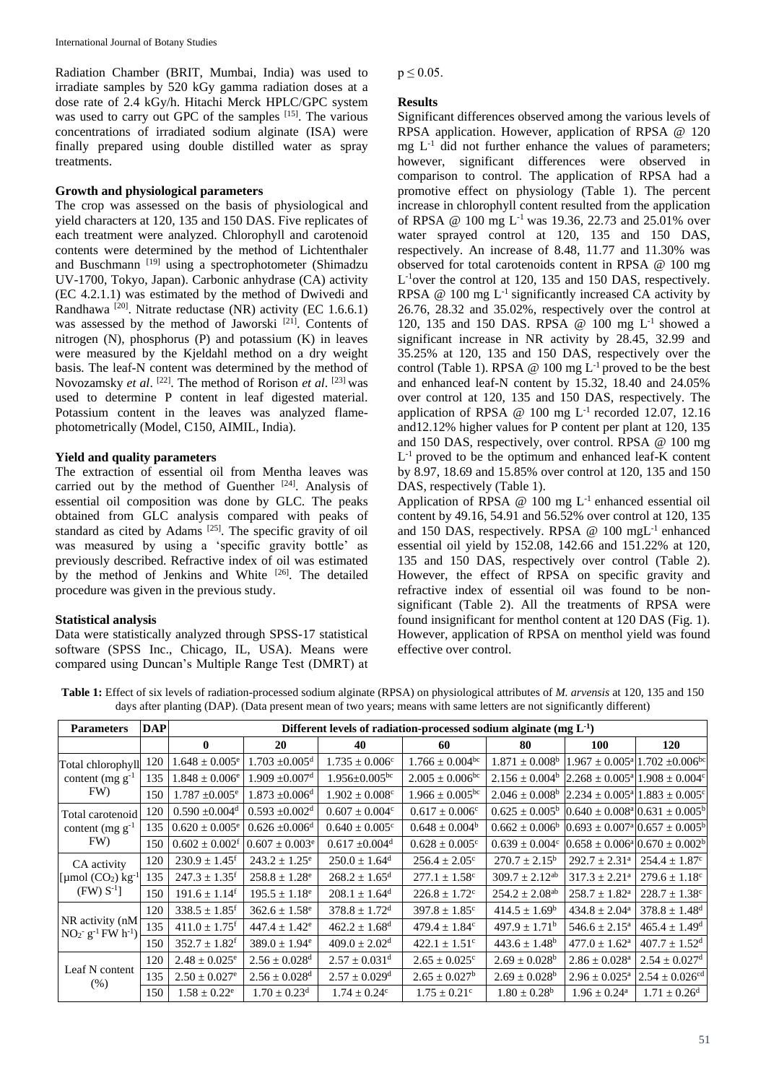Radiation Chamber (BRIT, Mumbai, India) was used to irradiate samples by 520 kGy gamma radiation doses at a dose rate of 2.4 kGy/h. Hitachi Merck HPLC/GPC system was used to carry out GPC of the samples [15]. The various concentrations of irradiated sodium alginate (ISA) were finally prepared using double distilled water as spray treatments.

# **Growth and physiological parameters**

The crop was assessed on the basis of physiological and yield characters at 120, 135 and 150 DAS. Five replicates of each treatment were analyzed. Chlorophyll and carotenoid contents were determined by the method of Lichtenthaler and Buschmann [19] using a spectrophotometer (Shimadzu UV-1700, Tokyo, Japan). Carbonic anhydrase (CA) activity (EC 4.2.1.1) was estimated by the method of Dwivedi and Randhawa  $^{[20]}$ . Nitrate reductase (NR) activity (EC 1.6.6.1) was assessed by the method of Jaworski<sup>[21]</sup>. Contents of nitrogen (N), phosphorus (P) and potassium (K) in leaves were measured by the Kjeldahl method on a dry weight basis. The leaf-N content was determined by the method of Novozamsky *et al.* <sup>[22]</sup>. The method of Rorison *et al.* <sup>[23]</sup> was used to determine P content in leaf digested material. Potassium content in the leaves was analyzed flamephotometrically (Model, C150, AIMIL, India).

# **Yield and quality parameters**

The extraction of essential oil from Mentha leaves was carried out by the method of Guenther  $[24]$ . Analysis of essential oil composition was done by GLC. The peaks obtained from GLC analysis compared with peaks of standard as cited by Adams<sup>[25]</sup>. The specific gravity of oil was measured by using a 'specific gravity bottle' as previously described. Refractive index of oil was estimated by the method of Jenkins and White <sup>[26]</sup>. The detailed procedure was given in the previous study.

# **Statistical analysis**

Data were statistically analyzed through SPSS-17 statistical software (SPSS Inc., Chicago, IL, USA). Means were compared using Duncan's Multiple Range Test (DMRT) at  $p \le 0.05$ .

# **Results**

Significant differences observed among the various levels of RPSA application. However, application of RPSA @ 120 mg  $L^{-1}$  did not further enhance the values of parameters; however, significant differences were observed in comparison to control. The application of RPSA had a promotive effect on physiology (Table 1). The percent increase in chlorophyll content resulted from the application of RPSA @ 100 mg  $L^{-1}$  was 19.36, 22.73 and 25.01% over water sprayed control at 120, 135 and 150 DAS, respectively. An increase of 8.48, 11.77 and 11.30% was observed for total carotenoids content in RPSA @ 100 mg L<sup>-1</sup>over the control at 120, 135 and 150 DAS, respectively. RPSA  $@$  100 mg  $L^{-1}$  significantly increased CA activity by 26.76, 28.32 and 35.02%, respectively over the control at 120, 135 and 150 DAS. RPSA @ 100 mg L<sup>-1</sup> showed a significant increase in NR activity by 28.45, 32.99 and 35.25% at 120, 135 and 150 DAS, respectively over the control (Table 1). RPSA  $@$  100 mg  $L^{-1}$  proved to be the best and enhanced leaf-N content by 15.32, 18.40 and 24.05% over control at 120, 135 and 150 DAS, respectively. The application of RPSA @ 100 mg  $L^{-1}$  recorded 12.07, 12.16 and12.12% higher values for P content per plant at 120, 135 and 150 DAS, respectively, over control. RPSA @ 100 mg L<sup>-1</sup> proved to be the optimum and enhanced leaf-K content by 8.97, 18.69 and 15.85% over control at 120, 135 and 150 DAS, respectively (Table 1).

Application of RPSA  $@$  100 mg  $L^{-1}$  enhanced essential oil content by 49.16, 54.91 and 56.52% over control at 120, 135 and 150 DAS, respectively. RPSA @ 100 mgL<sup>-1</sup> enhanced essential oil yield by 152.08, 142.66 and 151.22% at 120, 135 and 150 DAS, respectively over control (Table 2). However, the effect of RPSA on specific gravity and refractive index of essential oil was found to be nonsignificant (Table 2). All the treatments of RPSA were found insignificant for menthol content at 120 DAS (Fig. 1). However, application of RPSA on menthol yield was found effective over control.

**Table 1:** Effect of six levels of radiation-processed sodium alginate (RPSA) on physiological attributes of *M. arvensis* at 120, 135 and 150 days after planting (DAP). (Data present mean of two years; means with same letters are not significantly different)

| <b>Parameters</b>                                                 | <b>DAP</b> | Different levels of radiation-processed sodium alginate (mg $L^{-1}$ ) |                                |                                 |                                 |                                                                                           |                                                               |                                                    |  |
|-------------------------------------------------------------------|------------|------------------------------------------------------------------------|--------------------------------|---------------------------------|---------------------------------|-------------------------------------------------------------------------------------------|---------------------------------------------------------------|----------------------------------------------------|--|
|                                                                   |            | $\mathbf{0}$                                                           | 20                             | 40                              | 60                              | 80                                                                                        | <b>100</b>                                                    | <b>120</b>                                         |  |
| Total chlorophyll<br>content (mg $g^{-1}$<br>FW)                  | 120        | $1.648 \pm 0.005^e$                                                    | $1.703 \pm 0.005$ <sup>d</sup> | $1.735 \pm 0.006^{\circ}$       | $1.766 \pm 0.004$ <sup>bc</sup> | $1.871 \pm 0.008^{\circ}$ 1.967 $\pm$ 0.005 <sup>a</sup> 1.702 $\pm$ 0.006 <sup>bc</sup>  |                                                               |                                                    |  |
|                                                                   | 135        | $1.848 \pm 0.006$ <sup>e</sup>                                         | $1.909 \pm 0.007$ <sup>d</sup> | $1.956 \pm 0.005$ <sup>bc</sup> | $2.005 \pm 0.006$ <sup>bc</sup> | $2.156 \pm 0.004^{\circ}$  2.268 $\pm$ 0.005 <sup>a</sup>  1.908 $\pm$ 0.004 <sup>c</sup> |                                                               |                                                    |  |
|                                                                   | 150        | $1.787 \pm 0.005$ <sup>e</sup>                                         | $1.873 \pm 0.006$ <sup>d</sup> | $1.902 \pm 0.008$ <sup>c</sup>  | $1.966 \pm 0.005^{bc}$          | $2.046 \pm 0.008^{\circ}$ 2.234 $\pm$ 0.005 <sup>a</sup> 1.883 $\pm$ 0.005 <sup>c</sup>   |                                                               |                                                    |  |
| Total carotenoid<br>content (mg $g^{-1}$<br>FW)                   | 120        | $0.590 \pm 0.004$ <sup>d</sup>                                         | $0.593 \pm 0.002$ <sup>d</sup> | $0.607 \pm 0.004$ <sup>c</sup>  | $0.617 \pm 0.006^c$             | $0.625 \pm 0.005^{\rm b}$                                                                 | $0.640 \pm 0.008^{\text{a}} 0.631 \pm 0.005^{\text{b}}$       |                                                    |  |
|                                                                   | 135        | $0.620 \pm 0.005^{\circ}$                                              | $0.626 \pm 0.006$ <sup>d</sup> | $0.640 \pm 0.005$ <sup>c</sup>  | $0.648 \pm 0.004^b$             | $0.662 \pm 0.006^b$                                                                       | $0.693 \pm 0.007$ <sup>a</sup> $0.657 \pm 0.005$ <sup>b</sup> |                                                    |  |
|                                                                   | 150        | $0.602 \pm 0.002$ <sup>f</sup>                                         | $0.607 \pm 0.003$ <sup>e</sup> | $0.617 \pm 0.004$ <sup>d</sup>  | $0.628 \pm 0.005$ <sup>c</sup>  | $0.639 \pm 0.004$ <sup>c</sup>                                                            |                                                               | $0.658 \pm 0.006^{\circ} 10.670 \pm 0.002^{\circ}$ |  |
| CA activity<br>[µmol $(CO_2)$ kg <sup>-1</sup><br>$(FW) S^{-1}$ ] | 120        | $230.9 \pm 1.45$ <sup>f</sup>                                          | $243.2 \pm 1.25^e$             | $250.0 \pm 1.64$ <sup>d</sup>   | $256.4 \pm 2.05^{\circ}$        | $270.7 \pm 2.15^b$                                                                        | $292.7 \pm 2.31^{\circ}$                                      | $254.4 \pm 1.87^c$                                 |  |
|                                                                   | 135        | $247.3 \pm 1.35$ <sup>f</sup>                                          | $258.8 \pm 1.28^e$             | $268.2 \pm 1.65$ <sup>d</sup>   | $277.1 \pm 1.58^{\circ}$        | $309.7 \pm 2.12^{ab}$                                                                     | $317.3 \pm 2.21^{\circ}$                                      | $279.6 \pm 1.18$ °                                 |  |
|                                                                   | 150        | $191.6 \pm 1.14^{\mathrm{f}}$                                          | $195.5 \pm 1.18^e$             | $208.1 \pm 1.64$ <sup>d</sup>   | $226.8 \pm 1.72$ <sup>c</sup>   | $254.2 \pm 2.08^{ab}$                                                                     | $258.7 \pm 1.82^a$                                            | $228.7 \pm 1.38^{\circ}$                           |  |
| NR activity (nM<br>$NO2$ <sup>-1</sup> FW h <sup>-1</sup> )       | 120        | $338.5 \pm 1.85$ <sup>f</sup>                                          | $362.6 \pm 1.58$ <sup>e</sup>  | $378.8 \pm 1.72$ <sup>d</sup>   | $397.8 \pm 1.85$ °              | $414.5 \pm 1.69^b$                                                                        | $434.8 \pm 2.04^a$                                            | $378.8 \pm 1.48$ <sup>d</sup>                      |  |
|                                                                   | 135        | $411.0 \pm 1.75$ <sup>f</sup>                                          | $447.4 \pm 1.42^e$             | $462.2 \pm 1.68$ <sup>d</sup>   | $479.4 \pm 1.84^{\circ}$        | $497.9 \pm 1.71^{\rm b}$                                                                  | $546.6 \pm 2.15^{\circ}$                                      | $465.4 \pm 1.49^{\rm d}$                           |  |
|                                                                   | 150        | $352.7 \pm 1.82^{\mathrm{f}}$                                          | $389.0 \pm 1.94^e$             | $409.0 \pm 2.02$ <sup>d</sup>   | $422.1 \pm 1.51^{\circ}$        | $443.6 \pm 1.48^b$                                                                        | $477.0 \pm 1.62^{\circ}$                                      | $407.7 \pm 1.52$ <sup>d</sup>                      |  |
| Leaf N content<br>(% )                                            | 120        | $2.48 \pm 0.025^e$                                                     | $2.56 \pm 0.028$ <sup>d</sup>  | $2.57 \pm 0.031$ <sup>d</sup>   | $2.65 \pm 0.025$ <sup>c</sup>   | $2.69 \pm 0.028^b$                                                                        | $2.86 \pm 0.028$ <sup>a</sup>                                 | $2.54 \pm 0.027$ <sup>d</sup>                      |  |
|                                                                   | 135        | $2.50 \pm 0.027$ <sup>e</sup>                                          | $2.56 \pm 0.028$ <sup>d</sup>  | $2.57 \pm 0.029$ <sup>d</sup>   | $2.65 \pm 0.027^b$              | $2.69 \pm 0.028^b$                                                                        | $2.96 \pm 0.025^{\text{a}}$                                   | $2.54 \pm 0.026$ <sup>cd</sup>                     |  |
|                                                                   | 150        | $1.58 \pm 0.22^e$                                                      | $1.70 \pm 0.23$ <sup>d</sup>   | $1.74 \pm 0.24^c$               | $1.75 \pm 0.21$ <sup>c</sup>    | $1.80 \pm 0.28^b$                                                                         | $1.96 \pm 0.24$ <sup>a</sup>                                  | $1.71 \pm 0.26$ <sup>d</sup>                       |  |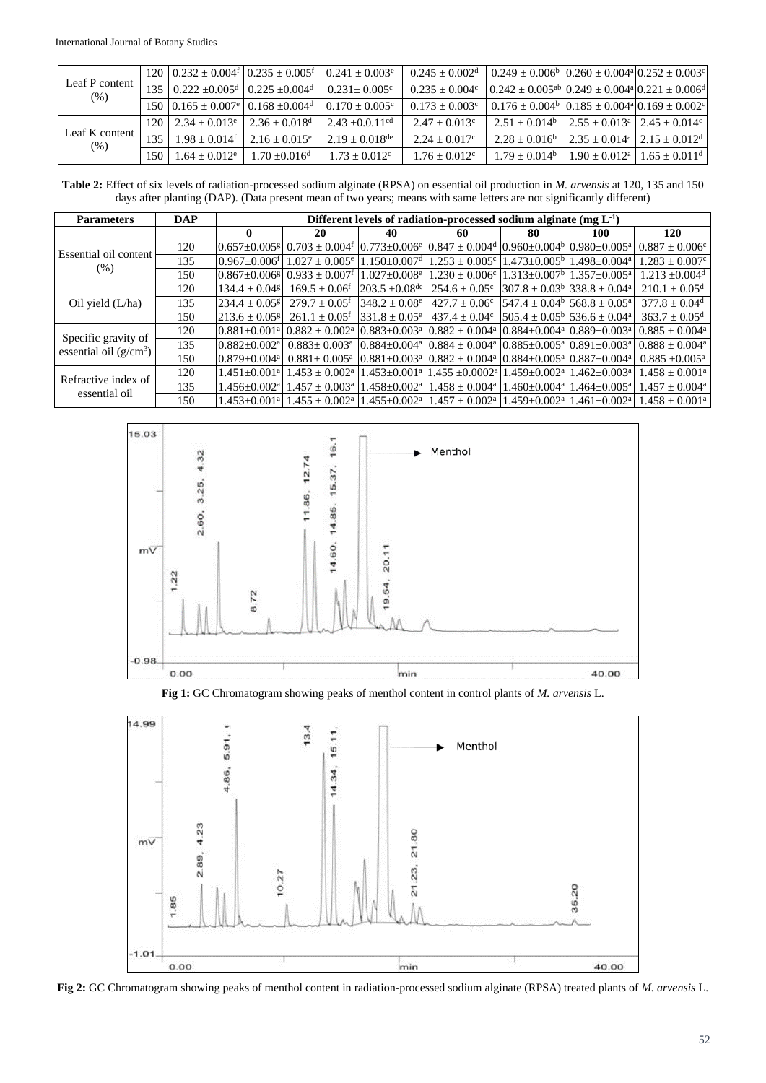| Leaf P content<br>(% ) |                                                                       | $120   0.232 \pm 0.004^{\circ}   0.235 \pm 0.005^{\circ}  $       | $0.241 + 0.003$ <sup>e</sup>  | $0.245 + 0.002d$        | $0.249 \pm 0.006^{\circ}$ $0.260 \pm 0.004^{\circ}$ $0.252 \pm 0.003^{\circ}$       |                                   |                                                       |
|------------------------|-----------------------------------------------------------------------|-------------------------------------------------------------------|-------------------------------|-------------------------|-------------------------------------------------------------------------------------|-----------------------------------|-------------------------------------------------------|
|                        | $135 \mid 0.222 + 0.005^d \mid 0.225 + 0.004^d$                       |                                                                   | $0.231 + 0.005^{\circ}$       | $0.235 + 0.004^{\circ}$ | $0.242 \pm 0.005^{ab}$ $0.249 \pm 0.004^{a}$ $0.221 \pm 0.006^{d}$                  |                                   |                                                       |
|                        |                                                                       | 150 $0.165 \pm 0.007$ <sup>e</sup> 0.168 $\pm 0.004$ <sup>d</sup> | $0.170 + 0.005^{\circ}$       | $0.173 + 0.003^{\circ}$ | $0.176 \pm 0.004^{\circ}$ $(0.185 \pm 0.004^{\circ} \cdot 0.169 \pm 0.002^{\circ})$ |                                   |                                                       |
| Leaf K content<br>(% ) | $120 \mid 2.34 + 0.013$ <sup>e</sup> $\mid 2.36 + 0.018$ <sup>d</sup> |                                                                   | $2.43 + 0.0.11$ <sup>cd</sup> | $2.47 + 0.013^c$        | $2.51 + 0.014^b$                                                                    | $2.55 + 0.013^a$ $2.45 + 0.014^c$ |                                                       |
|                        | $135 \mid 1.98 \pm 0.014$ <sup>f</sup>                                | $2.16 + 0.015^e$                                                  | $2.19 + 0.018$ <sup>de</sup>  | $2.24 + 0.017c$         | $2.28 + 0.016^b$                                                                    | $2.35 + 0.014^a$ $2.15 + 0.012^d$ |                                                       |
|                        | $150 \div 1.64 \pm 0.012$ <sup>e</sup>                                | $1.70 + 0.016$ <sup>d</sup>                                       | $1.73 + 0.012^c$              | $1.76 + 0.012^c$        | $1.79 + 0.014^b$                                                                    |                                   | $1.90 + 0.012^{\text{a}}$   $1.65 + 0.011^{\text{d}}$ |

**Table 2:** Effect of six levels of radiation-processed sodium alginate (RPSA) on essential oil production in *M. arvensis* at 120, 135 and 150 days after planting (DAP). (Data present mean of two years; means with same letters are not significantly different)

| <b>Parameters</b>                               | <b>DAP</b> | Different levels of radiation-processed sodium alginate $(mg L^{-1})$ |                                |                                 |                                                                                                                     |    |                                                               |                                |  |
|-------------------------------------------------|------------|-----------------------------------------------------------------------|--------------------------------|---------------------------------|---------------------------------------------------------------------------------------------------------------------|----|---------------------------------------------------------------|--------------------------------|--|
|                                                 |            | 0                                                                     | 20                             | 40                              | 60                                                                                                                  | 80 | 100                                                           | 120                            |  |
| Essential oil content<br>$(\% )$                | 120        | $0.657 + 0.005$                                                       | $0.703 \pm 0.004$ <sup>f</sup> | $0.773 \pm 0.006$ <sup>e</sup>  | $0.847 \pm 0.004$ <sup>d</sup> $0.960 \pm 0.004$ <sup>b</sup> $0.980 \pm 0.005$ <sup>a</sup>                        |    |                                                               | $0.887 \pm 0.006^c$            |  |
|                                                 | 135        | $0.967 + 0.006$                                                       | $1.027 \pm 0.005^e$            | $1.150 \pm 0.007$ <sup>d</sup>  | $1.253 \pm 0.005$ <sup>c</sup>                                                                                      |    | $1.473 \pm 0.005^{\circ}$ 1.498 $\pm 0.004^{\circ}$           | $1.283 \pm 0.007$ <sup>c</sup> |  |
|                                                 | 150        | $0.867 \pm 0.006$ <sup>g</sup>                                        | $0.933 \pm 0.007$ <sup>f</sup> | $1.027 + 0.008$ <sup>e</sup>    | $1.230 \pm 0.006$ <sup>c</sup>                                                                                      |    | $1.313 \pm 0.007$ <sup>b</sup> $1.357 \pm 0.005$ <sup>a</sup> | $1.213 + 0.004$ <sup>d</sup>   |  |
| Oil yield $(L/ha)$                              | 120        | $134.4 \pm 0.04$ <sup>g</sup>                                         | $169.5 \pm 0.06$ <sup>f</sup>  | $1203.5 \pm 0.08$ <sup>de</sup> | $254.6 \pm 0.05^c$                                                                                                  |    | $307.8 \pm 0.03^{\circ}$ 338.8 $\pm 0.04^{\circ}$             | $210.1 \pm 0.05^{\rm d}$       |  |
|                                                 | 135        | $1234.4 \pm 0.05$ <sup>g</sup>                                        | $279.7 \pm 0.05$ <sup>f</sup>  | $348.2 \pm 0.08^e$              | $427.7 \pm 0.06^{\circ}$                                                                                            |    | $[547.4 \pm 0.04^{\circ}]$ 568.8 $\pm$ 0.05 <sup>a</sup>      | $377.8 \pm 0.04$ <sup>d</sup>  |  |
|                                                 | 150        | $213.6 \pm 0.05$ <sup>g</sup>                                         | $261.1 \pm 0.05$ <sup>f</sup>  | $331.8 \pm 0.05^e$              | $437.4 + 0.04^{\circ}$                                                                                              |    | $505.4 + 0.05^{\circ}$ 536.6 + 0.04 <sup>a</sup>              | $363.7 \pm 0.05^{\rm d}$       |  |
| Specific gravity of<br>essential oil $(g/cm^3)$ | 120        | $0.881 + 0.001$ <sup>a</sup>                                          | $0.882 + 0.002^a$              | $0.883 + 0.003a$                | $0.882 + 0.004^a$                                                                                                   |    | $[0.884 + 0.004^a]$ $[0.889 + 0.003^a]$                       | $0.885 + 0.004^a$              |  |
|                                                 | 135        | $0.882 + 0.002^a$                                                     | $0.883 + 0.003^a$              | $0.884 + 0.004$ <sup>a</sup>    | $10.884 \pm 0.004$ <sup>a</sup> $0.885 \pm 0.005$ <sup>a</sup> $0.891 \pm 0.003$ <sup>a</sup> l                     |    |                                                               | $0.888 + 0.004^a$              |  |
|                                                 | 150        | $0.879 \pm 0.004$ <sup>a</sup>                                        | $0.881 \pm 0.005^{\text{a}}$   |                                 | $0.881\pm0.003$ <sup>a</sup> $0.882\pm0.004$ <sup>a</sup> $0.884\pm0.005$ <sup>a</sup> $0.887\pm0.004$ <sup>a</sup> |    |                                                               | $0.885 + 0.005^{\text{a}}$     |  |
| Refractive index of<br>essential oil            | 120        | $1.451 \pm 0.001$ <sup>a</sup>                                        | $1.453 + 0.002^a$              | $1.453 \pm 0.001$ <sup>a</sup>  | $1.455 \pm 0.0002^{\text{a}} 11.459 \pm 0.002^{\text{a}}$                                                           |    | $1.462 + 0.003^a$                                             | $1.458 \pm 0.001^{\text{a}}$   |  |
|                                                 | 135        | $1.456 + 0.002a$                                                      | $1.457 + 0.003a$               | $1.458 \pm 0.002^{\text{a}}$    | $1.458 \pm 0.004$ <sup>a</sup>                                                                                      |    | $1.460\pm0.004$ <sup>a</sup> 1.464 $\pm$ 0.005 <sup>a</sup>   | $1.457 + 0.004^a$              |  |
|                                                 | 150        | $1.453 \pm 0.001^{\rm a}$                                             | $1.455 + 0.002^{\text{a}}$     | $1.455 \pm 0.002^{\mathrm{a}}$  | $1.457 \pm 0.002$ <sup>a</sup>                                                                                      |    | $1.459+0.002^{\text{a}}1.461+0.002^{\text{a}}$                | $1.458 + 0.001^{\text{a}}$     |  |



**Fig 1:** GC Chromatogram showing peaks of menthol content in control plants of *M. arvensis* L.



**Fig 2:** GC Chromatogram showing peaks of menthol content in radiation-processed sodium alginate (RPSA) treated plants of *M. arvensis* L.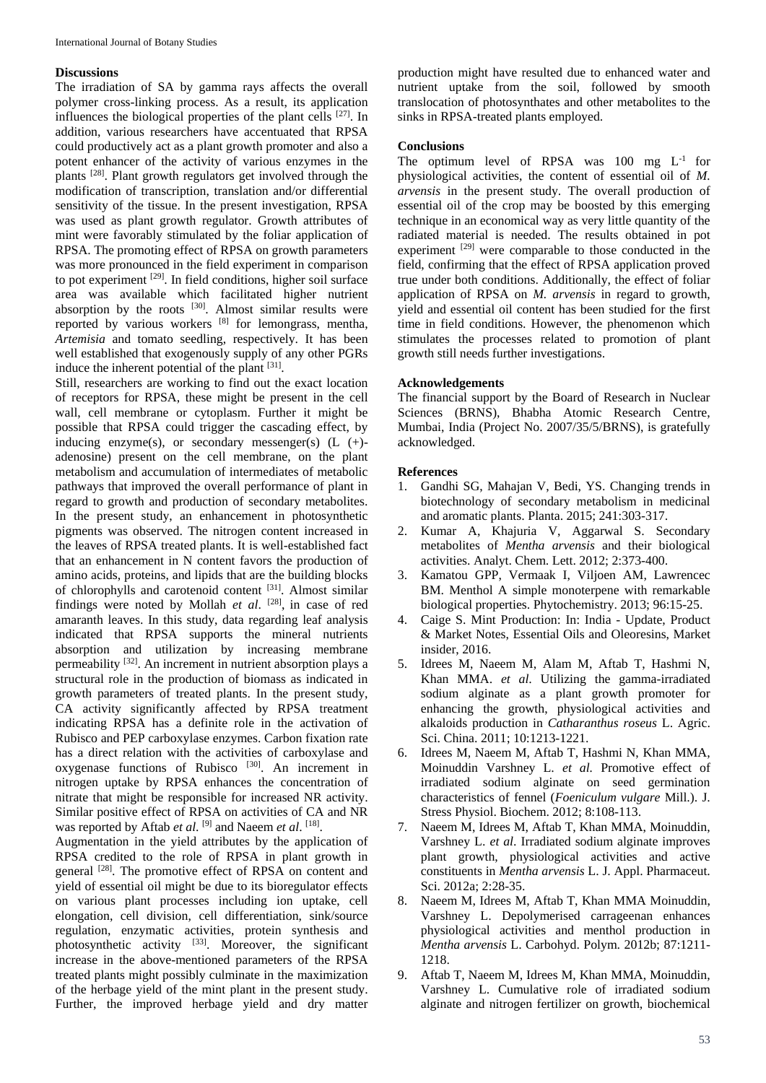### **Discussions**

The irradiation of SA by gamma rays affects the overall polymer cross-linking process. As a result, its application influences the biological properties of the plant cells [27]. In addition, various researchers have accentuated that RPSA could productively act as a plant growth promoter and also a potent enhancer of the activity of various enzymes in the plants [28]. Plant growth regulators get involved through the modification of transcription, translation and/or differential sensitivity of the tissue. In the present investigation, RPSA was used as plant growth regulator. Growth attributes of mint were favorably stimulated by the foliar application of RPSA. The promoting effect of RPSA on growth parameters was more pronounced in the field experiment in comparison to pot experiment  $^{[29]}$ . In field conditions, higher soil surface area was available which facilitated higher nutrient absorption by the roots  $[30]$ . Almost similar results were reported by various workers [8] for lemongrass, mentha, *Artemisia* and tomato seedling, respectively. It has been well established that exogenously supply of any other PGRs induce the inherent potential of the plant  $[31]$ .

Still, researchers are working to find out the exact location of receptors for RPSA, these might be present in the cell wall, cell membrane or cytoplasm. Further it might be possible that RPSA could trigger the cascading effect, by inducing enzyme(s), or secondary messenger(s)  $(L$  (+)adenosine) present on the cell membrane, on the plant metabolism and accumulation of intermediates of metabolic pathways that improved the overall performance of plant in regard to growth and production of secondary metabolites. In the present study, an enhancement in photosynthetic pigments was observed. The nitrogen content increased in the leaves of RPSA treated plants. It is well-established fact that an enhancement in N content favors the production of amino acids, proteins, and lipids that are the building blocks of chlorophylls and carotenoid content [31]. Almost similar findings were noted by Mollah *et al*. [28] , in case of red amaranth leaves. In this study, data regarding leaf analysis indicated that RPSA supports the mineral nutrients absorption and utilization by increasing membrane permeability [32]. An increment in nutrient absorption plays a structural role in the production of biomass as indicated in growth parameters of treated plants. In the present study, CA activity significantly affected by RPSA treatment indicating RPSA has a definite role in the activation of Rubisco and PEP carboxylase enzymes. Carbon fixation rate has a direct relation with the activities of carboxylase and oxygenase functions of Rubisco<sup>[30]</sup>. An increment in nitrogen uptake by RPSA enhances the concentration of nitrate that might be responsible for increased NR activity. Similar positive effect of RPSA on activities of CA and NR was reported by Aftab *et al*. <sup>[9]</sup> and Naeem *et al*. <sup>[18]</sup>.

Augmentation in the yield attributes by the application of RPSA credited to the role of RPSA in plant growth in general <sup>[28]</sup>. The promotive effect of RPSA on content and yield of essential oil might be due to its bioregulator effects on various plant processes including ion uptake, cell elongation, cell division, cell differentiation, sink/source regulation, enzymatic activities, protein synthesis and photosynthetic activity [33]. Moreover, the significant increase in the above-mentioned parameters of the RPSA treated plants might possibly culminate in the maximization of the herbage yield of the mint plant in the present study. Further, the improved herbage yield and dry matter

production might have resulted due to enhanced water and nutrient uptake from the soil, followed by smooth translocation of photosynthates and other metabolites to the sinks in RPSA-treated plants employed.

#### **Conclusions**

The optimum level of RPSA was  $100$  mg  $L^{-1}$  for physiological activities, the content of essential oil of *M. arvensis* in the present study. The overall production of essential oil of the crop may be boosted by this emerging technique in an economical way as very little quantity of the radiated material is needed. The results obtained in pot experiment <sup>[29]</sup> were comparable to those conducted in the field, confirming that the effect of RPSA application proved true under both conditions. Additionally, the effect of foliar application of RPSA on *M. arvensis* in regard to growth, yield and essential oil content has been studied for the first time in field conditions. However, the phenomenon which stimulates the processes related to promotion of plant growth still needs further investigations.

# **Acknowledgements**

The financial support by the Board of Research in Nuclear Sciences (BRNS), Bhabha Atomic Research Centre, Mumbai, India (Project No. 2007/35/5/BRNS), is gratefully acknowledged.

# **References**

- 1. Gandhi SG, Mahajan V, Bedi, YS. Changing trends in biotechnology of secondary metabolism in medicinal and aromatic plants. Planta. 2015; 241:303-317.
- 2. Kumar A, Khajuria V, Aggarwal S. Secondary metabolites of *Mentha arvensis* and their biological activities. Analyt. Chem. Lett. 2012; 2:373-400.
- 3. Kamatou GPP, Vermaak I, Viljoen AM, Lawrencec BM. Menthol A simple monoterpene with remarkable biological properties. Phytochemistry. 2013; 96:15-25.
- 4. Caige S. Mint Production: In: India Update, Product & Market Notes, Essential Oils and Oleoresins, Market insider, 2016.
- 5. Idrees M, Naeem M, Alam M, Aftab T, Hashmi N, Khan MMA. *et al*. Utilizing the gamma-irradiated sodium alginate as a plant growth promoter for enhancing the growth, physiological activities and alkaloids production in *Catharanthus roseus* L. Agric. Sci. China. 2011; 10:1213-1221.
- 6. Idrees M, Naeem M, Aftab T, Hashmi N, Khan MMA, Moinuddin Varshney L. *et al.* Promotive effect of irradiated sodium alginate on seed germination characteristics of fennel (*Foeniculum vulgare* Mill.). J. Stress Physiol. Biochem. 2012; 8:108-113.
- 7. Naeem M, Idrees M, Aftab T, Khan MMA, Moinuddin, Varshney L. *et al*. Irradiated sodium alginate improves plant growth, physiological activities and active constituents in *Mentha arvensis* L. J. Appl. Pharmaceut. Sci. 2012a; 2:28-35.
- 8. Naeem M, Idrees M, Aftab T, Khan MMA Moinuddin, Varshney L. Depolymerised carrageenan enhances physiological activities and menthol production in *Mentha arvensis* L. Carbohyd. Polym. 2012b; 87:1211- 1218.
- 9. Aftab T, Naeem M, Idrees M, Khan MMA, Moinuddin, Varshney L. Cumulative role of irradiated sodium alginate and nitrogen fertilizer on growth, biochemical